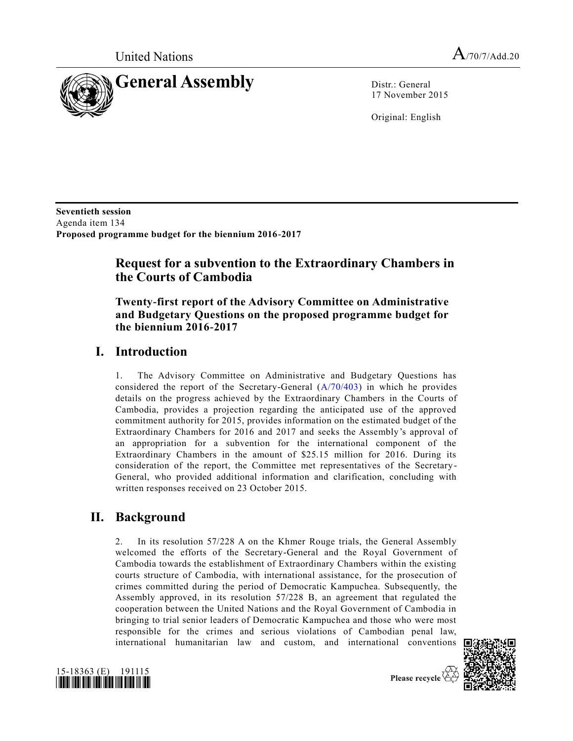

17 November 2015

Original: English

**Seventieth session**  Agenda item 134 **Proposed programme budget for the biennium 2016-2017**

## **Request for a subvention to the Extraordinary Chambers in the Courts of Cambodia**

### **Twenty-first report of the Advisory Committee on Administrative and Budgetary Questions on the proposed programme budget for the biennium 2016-2017**

## **I. Introduction**

1. The Advisory Committee on Administrative and Budgetary Questions has considered the report of the Secretary-General [\(A/70/403\)](http://undocs.org/A/70/403) in which he provides details on the progress achieved by the Extraordinary Chambers in the Courts of Cambodia, provides a projection regarding the anticipated use of the approved commitment authority for 2015, provides information on the estimated budget of the Extraordinary Chambers for 2016 and 2017 and seeks the Assembly's approval of an appropriation for a subvention for the international component of the Extraordinary Chambers in the amount of \$25.15 million for 2016. During its consideration of the report, the Committee met representatives of the Secretary-General, who provided additional information and clarification, concluding with written responses received on 23 October 2015.

### **II. Background**

2. In its resolution 57/228 A on the Khmer Rouge trials, the General Assembly welcomed the efforts of the Secretary-General and the Royal Government of Cambodia towards the establishment of Extraordinary Chambers within the existing courts structure of Cambodia, with international assistance, for the prosecution of crimes committed during the period of Democratic Kampuchea. Subsequently, the Assembly approved, in its resolution 57/228 B, an agreement that regulated the cooperation between the United Nations and the Royal Government of Cambodia in bringing to trial senior leaders of Democratic Kampuchea and those who were most responsible for the crimes and serious violations of Cambodian penal law, international humanitarian law and custom, and international conventions



Please recycle  $\overline{\mathcal{C}}$ 

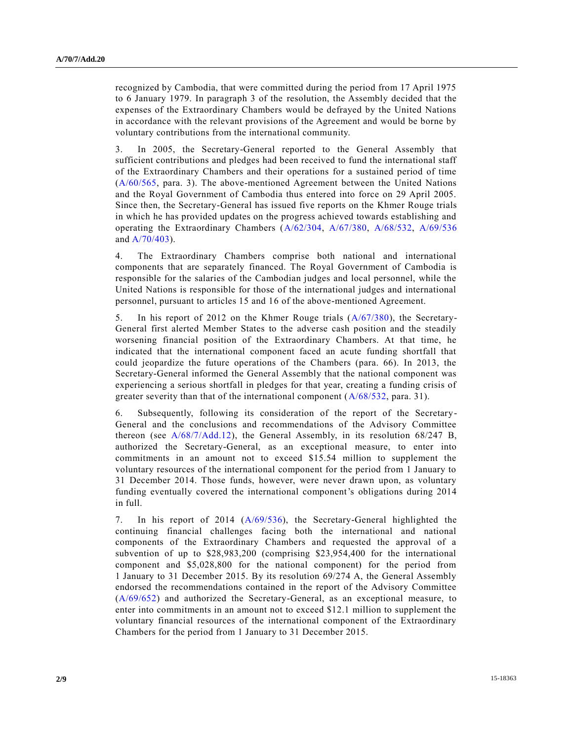recognized by Cambodia, that were committed during the period from 17 April 1975 to 6 January 1979. In paragraph 3 of the resolution, the Assembly decided that the expenses of the Extraordinary Chambers would be defrayed by the United Nations in accordance with the relevant provisions of the Agreement and would be borne by voluntary contributions from the international community.

3. In 2005, the Secretary-General reported to the General Assembly that sufficient contributions and pledges had been received to fund the international staff of the Extraordinary Chambers and their operations for a sustained period of time [\(A/60/565,](http://undocs.org/A/60/565) para. 3). The above-mentioned Agreement between the United Nations and the Royal Government of Cambodia thus entered into force on 29 April 2005. Since then, the Secretary-General has issued five reports on the Khmer Rouge trials in which he has provided updates on the progress achieved towards establishing and operating the Extraordinary Chambers [\(A/62/304,](http://undocs.org/A/62/304) [A/67/380,](http://undocs.org/A/67/380) [A/68/532,](http://undocs.org/A/68/532) [A/69/536](http://undocs.org/A/69/536) and [A/70/403\)](http://undocs.org/A/70/403).

4. The Extraordinary Chambers comprise both national and international components that are separately financed. The Royal Government of Cambodia is responsible for the salaries of the Cambodian judges and local personnel, while the United Nations is responsible for those of the international judges and international personnel, pursuant to articles 15 and 16 of the above-mentioned Agreement.

5. In his report of 2012 on the Khmer Rouge trials [\(A/67/380\)](http://undocs.org/A/67/380), the Secretary-General first alerted Member States to the adverse cash position and the steadily worsening financial position of the Extraordinary Chambers. At that time, he indicated that the international component faced an acute funding shortfall that could jeopardize the future operations of the Chambers (para. 66). In 2013, the Secretary-General informed the General Assembly that the national component was experiencing a serious shortfall in pledges for that year, creating a funding crisis of greater severity than that of the international component [\(A/68/532,](http://undocs.org/A/68/532) para. 31).

6. Subsequently, following its consideration of the report of the Secretary-General and the conclusions and recommendations of the Advisory Committee thereon (see [A/68/7/Add.12\)](http://undocs.org/A/68/7/Add.12), the General Assembly, in its resolution 68/247 B, authorized the Secretary-General, as an exceptional measure, to enter into commitments in an amount not to exceed \$15.54 million to supplement the voluntary resources of the international component for the period from 1 January to 31 December 2014. Those funds, however, were never drawn upon, as voluntary funding eventually covered the international component's obligations during 2014 in full.

7. In his report of 2014 [\(A/69/536\)](http://undocs.org/A/69/536), the Secretary-General highlighted the continuing financial challenges facing both the international and national components of the Extraordinary Chambers and requested the approval of a subvention of up to \$28,983,200 (comprising \$23,954,400 for the international component and \$5,028,800 for the national component) for the period from 1 January to 31 December 2015. By its resolution 69/274 A, the General Assembly endorsed the recommendations contained in the report of the Advisory Committee [\(A/69/652\)](http://undocs.org/A/69/652) and authorized the Secretary-General, as an exceptional measure, to enter into commitments in an amount not to exceed \$12.1 million to supplement the voluntary financial resources of the international component of the Extraordinary Chambers for the period from 1 January to 31 December 2015.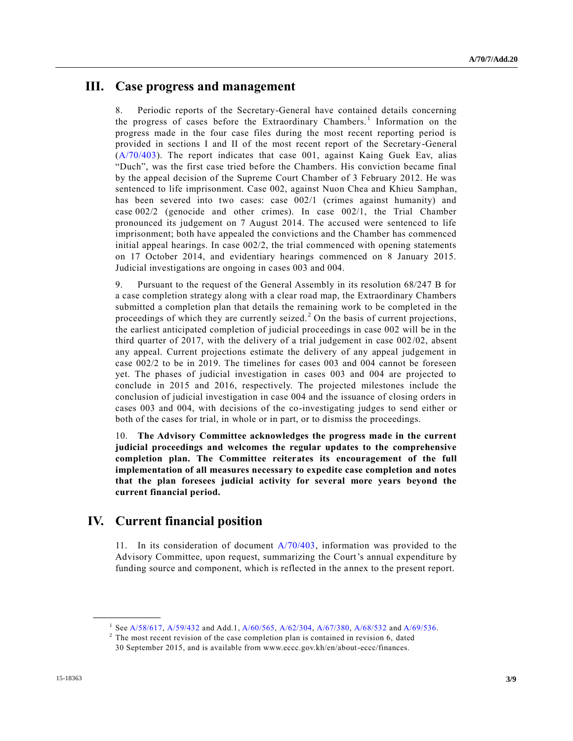### **III. Case progress and management**

8. Periodic reports of the Secretary-General have contained details concerning the progress of cases before the Extraordinary Chambers.<sup>1</sup> Information on the progress made in the four case files during the most recent reporting period is provided in sections I and II of the most recent report of the Secretary-General [\(A/70/403\)](http://undocs.org/A/70/403). The report indicates that case 001, against Kaing Guek Eav, alias "Duch", was the first case tried before the Chambers. His conviction became final by the appeal decision of the Supreme Court Chamber of 3 February 2012. He was sentenced to life imprisonment. Case 002, against Nuon Chea and Khieu Samphan, has been severed into two cases: case  $002/1$  (crimes against humanity) and case 002/2 (genocide and other crimes). In case 002/1, the Trial Chamber pronounced its judgement on 7 August 2014. The accused were sentenced to life imprisonment; both have appealed the convictions and the Chamber has commenced initial appeal hearings. In case 002/2, the trial commenced with opening statements on 17 October 2014, and evidentiary hearings commenced on 8 January 2015. Judicial investigations are ongoing in cases 003 and 004.

9. Pursuant to the request of the General Assembly in its resolution 68/247 B for a case completion strategy along with a clear road map, the Extraordinary Chambers submitted a completion plan that details the remaining work to be completed in the proceedings of which they are currently seized.<sup>2</sup> On the basis of current projections, the earliest anticipated completion of judicial proceedings in case 002 will be in the third quarter of 2017, with the delivery of a trial judgement in case 002/02, absent any appeal. Current projections estimate the delivery of any appeal judgement in case 002/2 to be in 2019. The timelines for cases 003 and 004 cannot be foreseen yet. The phases of judicial investigation in cases 003 and 004 are projected to conclude in 2015 and 2016, respectively. The projected milestones include the conclusion of judicial investigation in case 004 and the issuance of closing orders in cases 003 and 004, with decisions of the co-investigating judges to send either or both of the cases for trial, in whole or in part, or to dismiss the proceedings.

10. **The Advisory Committee acknowledges the progress made in the current judicial proceedings and welcomes the regular updates to the comprehensive completion plan. The Committee reiterates its encouragement of the full implementation of all measures necessary to expedite case completion and notes that the plan foresees judicial activity for several more years beyond the current financial period.** 

## **IV. Current financial position**

**\_\_\_\_\_\_\_\_\_\_\_\_\_\_\_\_\_\_**

11. In its consideration of document [A/70/403,](http://undocs.org/A/70/403) information was provided to the Advisory Committee, upon request, summarizing the Court's annual expenditure by funding source and component, which is reflected in the annex to the present report.

<sup>&</sup>lt;sup>1</sup> Se[e A/58/617,](http://undocs.org/A/58/617) [A/59/432](http://undocs.org/A/59/432) and Add.1[, A/60/565,](http://undocs.org/A/60/565) [A/62/304,](http://undocs.org/A/62/304) [A/67/380,](http://undocs.org/A/67/380) [A/68/532](http://undocs.org/A/68/532) an[d A/69/536.](http://undocs.org/A/69/536)

 $2^2$  The most recent revision of the case completion plan is contained in revision 6, dated 30 September 2015, and is available from www.eccc.gov.kh/en/about-eccc/finances.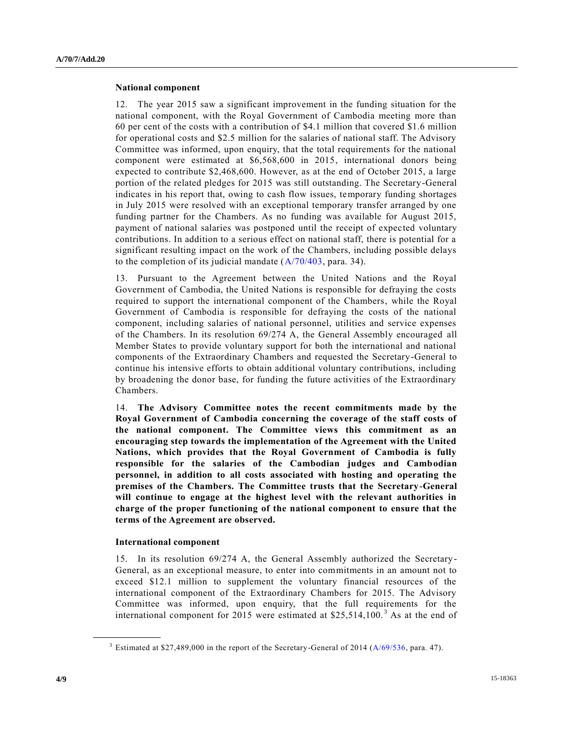#### **National component**

12. The year 2015 saw a significant improvement in the funding situation for the national component, with the Royal Government of Cambodia meeting more than 60 per cent of the costs with a contribution of \$4.1 million that covered \$1.6 million for operational costs and \$2.5 million for the salaries of national staff. The Advisory Committee was informed, upon enquiry, that the total requirements for the national component were estimated at \$6,568,600 in 2015, international donors being expected to contribute \$2,468,600. However, as at the end of October 2015, a large portion of the related pledges for 2015 was still outstanding. The Secretary-General indicates in his report that, owing to cash flow issues, temporary funding shortages in July 2015 were resolved with an exceptional temporary transfer arranged by one funding partner for the Chambers. As no funding was available for August 2015, payment of national salaries was postponed until the receipt of expected voluntary contributions. In addition to a serious effect on national staff, there is potential for a significant resulting impact on the work of the Chambers, including possible delays to the completion of its judicial mandate  $(A/70/403)$ , para. 34).

13. Pursuant to the Agreement between the United Nations and the Royal Government of Cambodia, the United Nations is responsible for defraying the costs required to support the international component of the Chambers, while the Royal Government of Cambodia is responsible for defraying the costs of the national component, including salaries of national personnel, utilities and service expenses of the Chambers. In its resolution 69/274 A, the General Assembly encouraged all Member States to provide voluntary support for both the international and national components of the Extraordinary Chambers and requested the Secretary-General to continue his intensive efforts to obtain additional voluntary contributions, including by broadening the donor base, for funding the future activities of the Extraordinary Chambers.

14. **The Advisory Committee notes the recent commitments made by the Royal Government of Cambodia concerning the coverage of the staff costs of the national component. The Committee views this commitment as an encouraging step towards the implementation of the Agreement with the United Nations, which provides that the Royal Government of Cambodia is fully responsible for the salaries of the Cambodian judges and Cambodian personnel, in addition to all costs associated with hosting and operating the premises of the Chambers. The Committee trusts that the Secretary-General will continue to engage at the highest level with the relevant authorities in charge of the proper functioning of the national component to ensure that the terms of the Agreement are observed.** 

#### **International component**

**\_\_\_\_\_\_\_\_\_\_\_\_\_\_\_\_\_\_**

15. In its resolution 69/274 A, the General Assembly authorized the Secretary-General, as an exceptional measure, to enter into commitments in an amount not to exceed \$12.1 million to supplement the voluntary financial resources of the international component of the Extraordinary Chambers for 2015. The Advisory Committee was informed, upon enquiry, that the full requirements for the international component for 2015 were estimated at  $$25,514,100.<sup>3</sup>$  As at the end of

<sup>&</sup>lt;sup>3</sup> Estimated at \$27,489,000 in the report of the Secretary-General of 2014 ( $A/69/536$ , para. 47).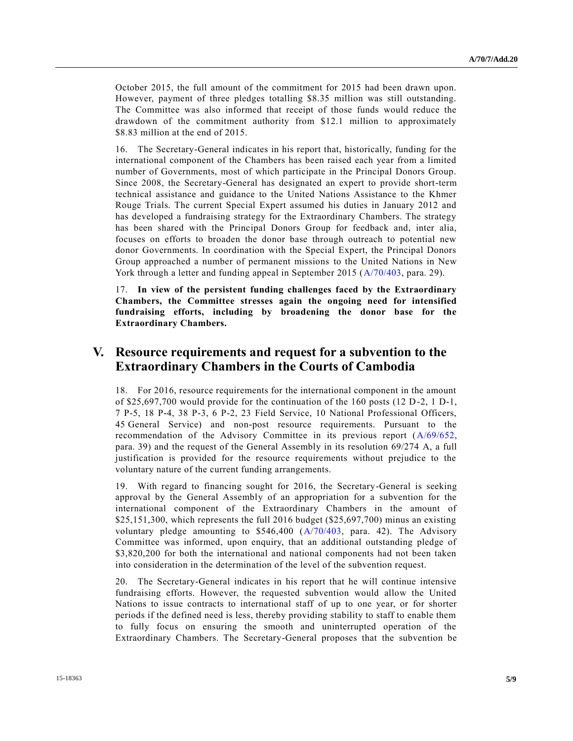October 2015, the full amount of the commitment for 2015 had been drawn upon. However, payment of three pledges totalling \$8.35 million was still outstanding. The Committee was also informed that receipt of those funds would reduce the drawdown of the commitment authority from \$12.1 million to approximately \$8.83 million at the end of 2015.

16. The Secretary-General indicates in his report that, historically, funding for the international component of the Chambers has been raised each year from a limited number of Governments, most of which participate in the Principal Donors Group. Since 2008, the Secretary-General has designated an expert to provide short-term technical assistance and guidance to the United Nations Assistance to the Khmer Rouge Trials. The current Special Expert assumed his duties in January 2012 and has developed a fundraising strategy for the Extraordinary Chambers. The strategy has been shared with the Principal Donors Group for feedback and, inter alia, focuses on efforts to broaden the donor base through outreach to potential new donor Governments. In coordination with the Special Expert, the Principal Donors Group approached a number of permanent missions to the United Nations in New York through a letter and funding appeal in September 2015 [\(A/70/403,](http://undocs.org/A/70/403) para. 29).

17. **In view of the persistent funding challenges faced by the Extraordinary Chambers, the Committee stresses again the ongoing need for intensified fundraising efforts, including by broadening the donor base for the Extraordinary Chambers.** 

### **V. Resource requirements and request for a subvention to the Extraordinary Chambers in the Courts of Cambodia**

18. For 2016, resource requirements for the international component in the amount of \$25,697,700 would provide for the continuation of the 160 posts (12 D-2, 1 D-1, 7 P-5, 18 P-4, 38 P-3, 6 P-2, 23 Field Service, 10 National Professional Officers, 45 General Service) and non-post resource requirements. Pursuant to the recommendation of the Advisory Committee in its previous report [\(A/69/652,](http://undocs.org/A/69/652) para. 39) and the request of the General Assembly in its resolution 69/274 A, a full justification is provided for the resource requirements without prejudice to the voluntary nature of the current funding arrangements.

19. With regard to financing sought for 2016, the Secretary-General is seeking approval by the General Assembly of an appropriation for a subvention for the international component of the Extraordinary Chambers in the amount of \$25,151,300, which represents the full 2016 budget (\$25,697,700) minus an existing voluntary pledge amounting to  $$546,400$   $(A/70/403, \text{ para. } 42)$  $(A/70/403, \text{ para. } 42)$ . The Advisory Committee was informed, upon enquiry, that an additional outstanding pledge of \$3,820,200 for both the international and national components had not been taken into consideration in the determination of the level of the subvention request.

20. The Secretary-General indicates in his report that he will continue intensive fundraising efforts. However, the requested subvention would allow the United Nations to issue contracts to international staff of up to one year, or for shorter periods if the defined need is less, thereby providing stability to staff to enable them to fully focus on ensuring the smooth and uninterrupted operation of the Extraordinary Chambers. The Secretary-General proposes that the subvention be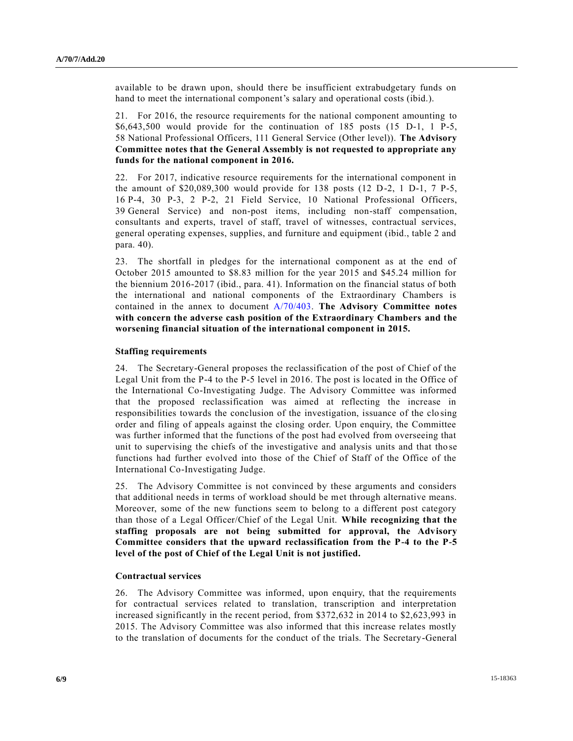available to be drawn upon, should there be insufficient extrabudgetary funds on hand to meet the international component's salary and operational costs (ibid.).

21. For 2016, the resource requirements for the national component amounting to \$6,643,500 would provide for the continuation of 185 posts (15 D-1, 1 P-5, 58 National Professional Officers, 111 General Service (Other level)). **The Advisory Committee notes that the General Assembly is not requested to appropriate any funds for the national component in 2016.** 

22. For 2017, indicative resource requirements for the international component in the amount of \$20,089,300 would provide for 138 posts (12 D-2, 1 D-1, 7 P-5, 16 P-4, 30 P-3, 2 P-2, 21 Field Service, 10 National Professional Officers, 39 General Service) and non-post items, including non-staff compensation, consultants and experts, travel of staff, travel of witnesses, contractual services, general operating expenses, supplies, and furniture and equipment (ibid., table 2 and para. 40).

23. The shortfall in pledges for the international component as at the end of October 2015 amounted to \$8.83 million for the year 2015 and \$45.24 million for the biennium 2016-2017 (ibid., para. 41). Information on the financial status of both the international and national components of the Extraordinary Chambers is contained in the annex to document [A/70/403.](http://undocs.org/A/70/403) **The Advisory Committee notes with concern the adverse cash position of the Extraordinary Chambers and the worsening financial situation of the international component in 2015.**

#### **Staffing requirements**

24. The Secretary-General proposes the reclassification of the post of Chief of the Legal Unit from the P-4 to the P-5 level in 2016. The post is located in the Office of the International Co-Investigating Judge. The Advisory Committee was informed that the proposed reclassification was aimed at reflecting the increase in responsibilities towards the conclusion of the investigation, issuance of the clo sing order and filing of appeals against the closing order. Upon enquiry, the Committee was further informed that the functions of the post had evolved from overseeing that unit to supervising the chiefs of the investigative and analysis units and that tho se functions had further evolved into those of the Chief of Staff of the Office of the International Co-Investigating Judge.

25. The Advisory Committee is not convinced by these arguments and considers that additional needs in terms of workload should be met through alternative means. Moreover, some of the new functions seem to belong to a different post category than those of a Legal Officer/Chief of the Legal Unit. **While recognizing that the staffing proposals are not being submitted for approval, the Advisory Committee considers that the upward reclassification from the P-4 to the P-5 level of the post of Chief of the Legal Unit is not justified.**

#### **Contractual services**

26. The Advisory Committee was informed, upon enquiry, that the requirements for contractual services related to translation, transcription and interpretation increased significantly in the recent period, from \$372,632 in 2014 to \$2,623,993 in 2015. The Advisory Committee was also informed that this increase relates mostly to the translation of documents for the conduct of the trials. The Secretary-General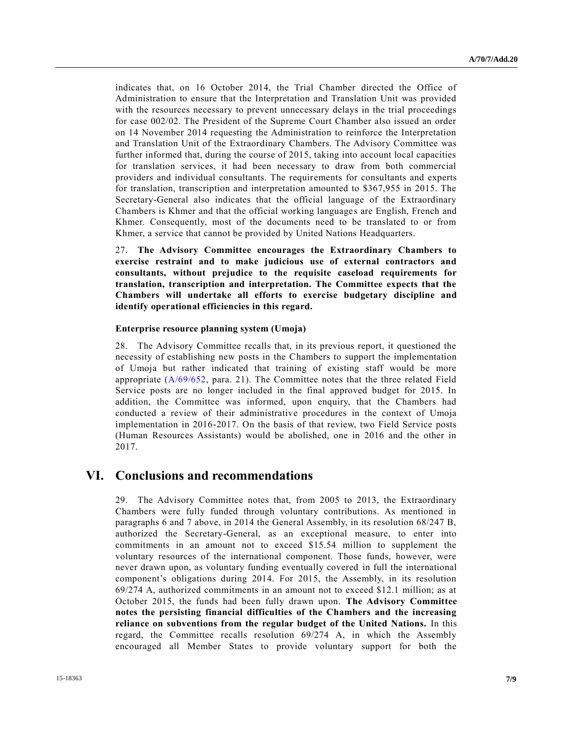indicates that, on 16 October 2014, the Trial Chamber directed the Office of Administration to ensure that the Interpretation and Translation Unit was provided with the resources necessary to prevent unnecessary delays in the trial proceedings for case 002/02. The President of the Supreme Court Chamber also issued an order on 14 November 2014 requesting the Administration to reinforce the Interpretation and Translation Unit of the Extraordinary Chambers. The Advisory Committee was further informed that, during the course of 2015, taking into account local capacities for translation services, it had been necessary to draw from both commercial providers and individual consultants. The requirements for consultants and experts for translation, transcription and interpretation amounted to \$367,955 in 2015. The Secretary-General also indicates that the official language of the Extraordinary Chambers is Khmer and that the official working languages are English, French and Khmer. Consequently, most of the documents need to be translated to or from Khmer, a service that cannot be provided by United Nations Headquarters.

27. **The Advisory Committee encourages the Extraordinary Chambers to exercise restraint and to make judicious use of external contractors and consultants, without prejudice to the requisite caseload requirements for translation, transcription and interpretation. The Committee expects that the Chambers will undertake all efforts to exercise budgetary discipline and identify operational efficiencies in this regard.** 

#### **Enterprise resource planning system (Umoja)**

28. The Advisory Committee recalls that, in its previous report, it questioned the necessity of establishing new posts in the Chambers to support the implementation of Umoja but rather indicated that training of existing staff would be more appropriate [\(A/69/652,](http://undocs.org/A/69/652) para. 21). The Committee notes that the three related Field Service posts are no longer included in the final approved budget for 2015. In addition, the Committee was informed, upon enquiry, that the Chambers had conducted a review of their administrative procedures in the context of Umoja implementation in 2016-2017. On the basis of that review, two Field Service posts (Human Resources Assistants) would be abolished, one in 2016 and the other in 2017.

### **VI. Conclusions and recommendations**

29. The Advisory Committee notes that, from 2005 to 2013, the Extraordinary Chambers were fully funded through voluntary contributions. As mentioned in paragraphs 6 and 7 above, in 2014 the General Assembly, in its resolution 68/247 B, authorized the Secretary-General, as an exceptional measure, to enter into commitments in an amount not to exceed \$15.54 million to supplement the voluntary resources of the international component. Those funds, however, were never drawn upon, as voluntary funding eventually covered in full the international component's obligations during 2014. For 2015, the Assembly, in its resolution 69/274 A, authorized commitments in an amount not to exceed \$12.1 million; as at October 2015, the funds had been fully drawn upon. **The Advisory Committee notes the persisting financial difficulties of the Chambers and the increasing reliance on subventions from the regular budget of the United Nations.** In this regard, the Committee recalls resolution 69/274 A, in which the Assembly encouraged all Member States to provide voluntary support for both the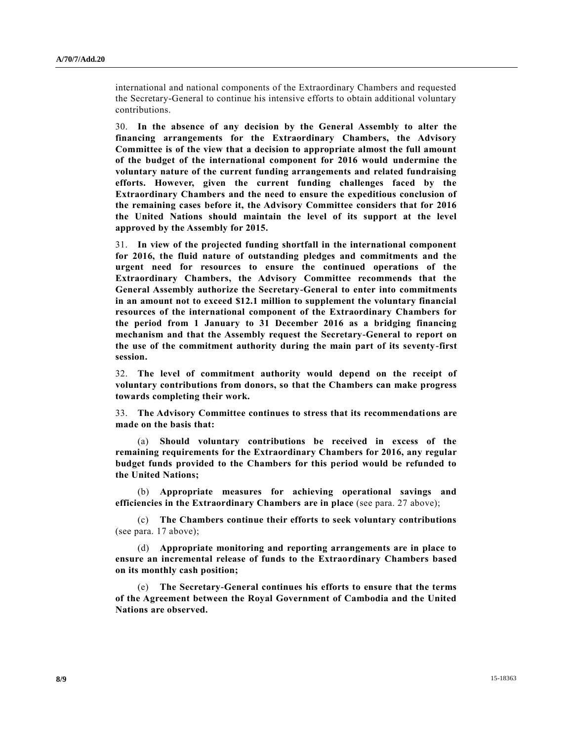international and national components of the Extraordinary Chambers and requested the Secretary-General to continue his intensive efforts to obtain additional voluntary contributions.

30. **In the absence of any decision by the General Assembly to alter the financing arrangements for the Extraordinary Chambers, the Advisory Committee is of the view that a decision to appropriate almost the full amount of the budget of the international component for 2016 would undermine the voluntary nature of the current funding arrangements and related fundraising efforts. However, given the current funding challenges faced by the Extraordinary Chambers and the need to ensure the expeditious conclusion of the remaining cases before it, the Advisory Committee considers that for 2016 the United Nations should maintain the level of its support at the level approved by the Assembly for 2015.** 

31. **In view of the projected funding shortfall in the international component for 2016, the fluid nature of outstanding pledges and commitments and the urgent need for resources to ensure the continued operations of the Extraordinary Chambers, the Advisory Committee recommends that the General Assembly authorize the Secretary-General to enter into commitments in an amount not to exceed \$12.1 million to supplement the voluntary financial resources of the international component of the Extraordinary Chambers for the period from 1 January to 31 December 2016 as a bridging financing mechanism and that the Assembly request the Secretary-General to report on the use of the commitment authority during the main part of its seventy-first session.** 

32. **The level of commitment authority would depend on the receipt of voluntary contributions from donors, so that the Chambers can make progress towards completing their work.** 

33. **The Advisory Committee continues to stress that its recommendations are made on the basis that:**

(a) **Should voluntary contributions be received in excess of the remaining requirements for the Extraordinary Chambers for 2016, any regular budget funds provided to the Chambers for this period would be refunded to the United Nations;** 

(b) **Appropriate measures for achieving operational savings and efficiencies in the Extraordinary Chambers are in place** (see para. 27 above);

(c) **The Chambers continue their efforts to seek voluntary contributions** (see para. 17 above);

(d) **Appropriate monitoring and reporting arrangements are in place to ensure an incremental release of funds to the Extraordinary Chambers based on its monthly cash position;** 

(e) **The Secretary-General continues his efforts to ensure that the terms of the Agreement between the Royal Government of Cambodia and the United Nations are observed.**